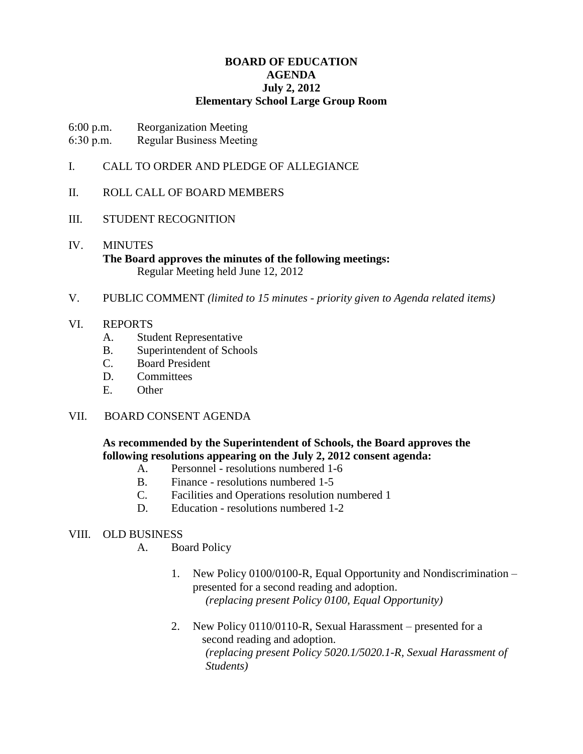# **BOARD OF EDUCATION AGENDA July 2, 2012 Elementary School Large Group Room**

- 6:00 p.m. Reorganization Meeting
- 6:30 p.m. Regular Business Meeting
- I. CALL TO ORDER AND PLEDGE OF ALLEGIANCE

# II. ROLL CALL OF BOARD MEMBERS

# III. STUDENT RECOGNITION

- IV. MINUTES **The Board approves the minutes of the following meetings:** Regular Meeting held June 12, 2012
- V. PUBLIC COMMENT *(limited to 15 minutes - priority given to Agenda related items)*

# VI. REPORTS

- A. Student Representative
- B. Superintendent of Schools
- C. Board President
- D. Committees
- E. Other

# VII. BOARD CONSENT AGENDA

# **As recommended by the Superintendent of Schools, the Board approves the following resolutions appearing on the July 2, 2012 consent agenda:**

- A. Personnel resolutions numbered 1-6
- B. Finance resolutions numbered 1-5
- C. Facilities and Operations resolution numbered 1
- D. Education resolutions numbered 1-2

# VIII. OLD BUSINESS

- A. Board Policy
	- 1. New Policy 0100/0100-R, Equal Opportunity and Nondiscrimination presented for a second reading and adoption. *(replacing present Policy 0100, Equal Opportunity)*
	- 2. New Policy 0110/0110-R, Sexual Harassment presented for a second reading and adoption. *(replacing present Policy 5020.1/5020.1-R, Sexual Harassment of Students)*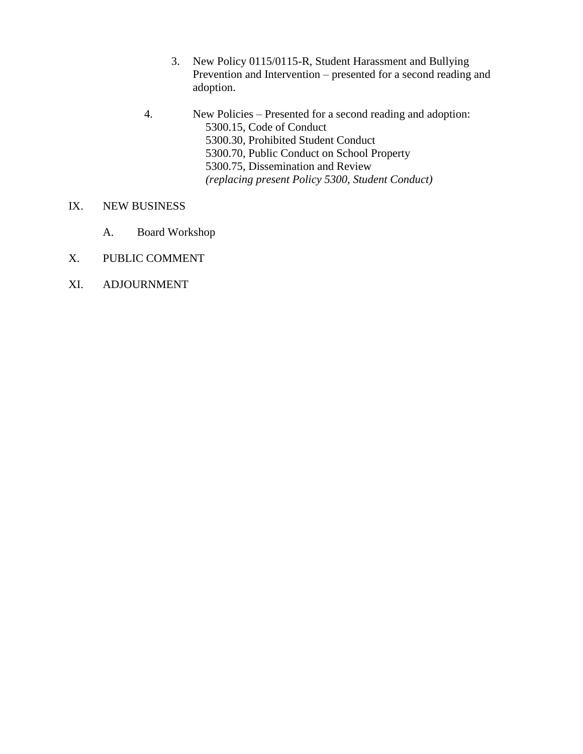- 3. New Policy 0115/0115-R, Student Harassment and Bullying Prevention and Intervention – presented for a second reading and adoption.
- 4. New Policies Presented for a second reading and adoption: 5300.15, Code of Conduct 5300.30, Prohibited Student Conduct 5300.70, Public Conduct on School Property 5300.75, Dissemination and Review *(replacing present Policy 5300, Student Conduct)*
- IX. NEW BUSINESS
	- A. Board Workshop
- X. PUBLIC COMMENT
- XI. ADJOURNMENT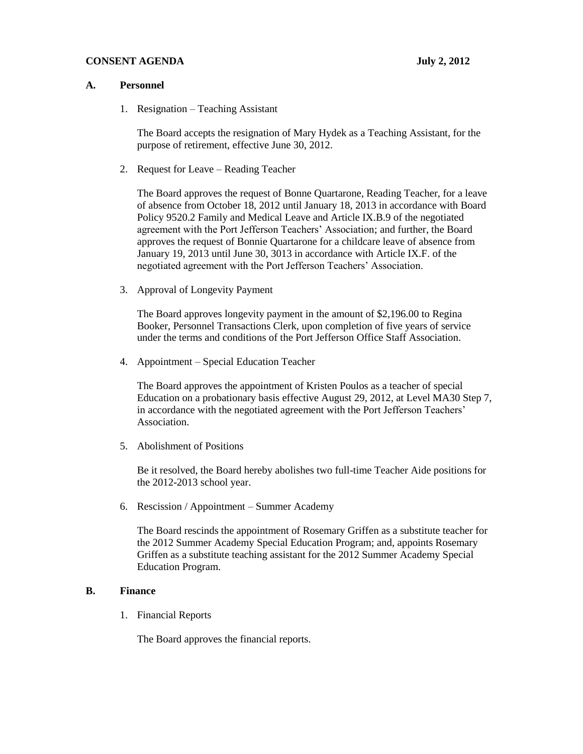#### **CONSENT AGENDA** July 2, 2012

#### **A. Personnel**

1. Resignation – Teaching Assistant

The Board accepts the resignation of Mary Hydek as a Teaching Assistant, for the purpose of retirement, effective June 30, 2012.

2. Request for Leave – Reading Teacher

The Board approves the request of Bonne Quartarone, Reading Teacher, for a leave of absence from October 18, 2012 until January 18, 2013 in accordance with Board Policy 9520.2 Family and Medical Leave and Article IX.B.9 of the negotiated agreement with the Port Jefferson Teachers' Association; and further, the Board approves the request of Bonnie Quartarone for a childcare leave of absence from January 19, 2013 until June 30, 3013 in accordance with Article IX.F. of the negotiated agreement with the Port Jefferson Teachers' Association.

3. Approval of Longevity Payment

The Board approves longevity payment in the amount of \$2,196.00 to Regina Booker, Personnel Transactions Clerk, upon completion of five years of service under the terms and conditions of the Port Jefferson Office Staff Association.

4. Appointment – Special Education Teacher

The Board approves the appointment of Kristen Poulos as a teacher of special Education on a probationary basis effective August 29, 2012, at Level MA30 Step 7, in accordance with the negotiated agreement with the Port Jefferson Teachers' Association.

5. Abolishment of Positions

Be it resolved, the Board hereby abolishes two full-time Teacher Aide positions for the 2012-2013 school year.

6. Rescission / Appointment – Summer Academy

The Board rescinds the appointment of Rosemary Griffen as a substitute teacher for the 2012 Summer Academy Special Education Program; and, appoints Rosemary Griffen as a substitute teaching assistant for the 2012 Summer Academy Special Education Program.

## **B. Finance**

1. Financial Reports

The Board approves the financial reports.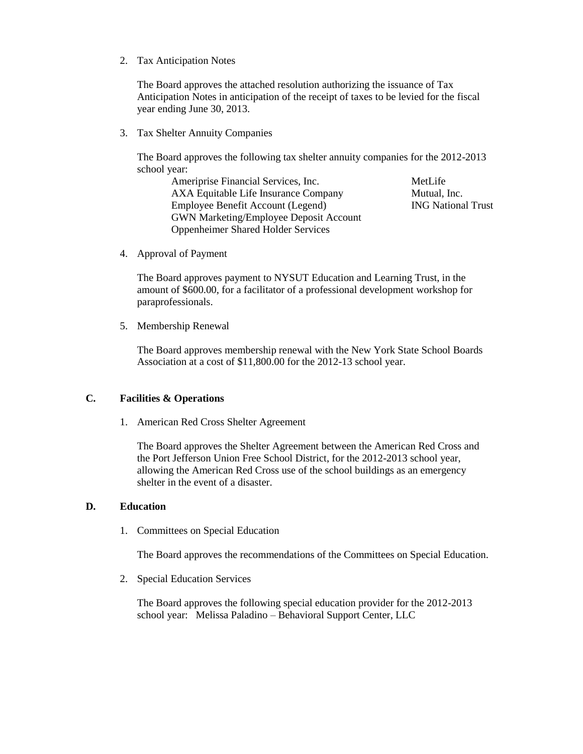2. Tax Anticipation Notes

The Board approves the attached resolution authorizing the issuance of Tax Anticipation Notes in anticipation of the receipt of taxes to be levied for the fiscal year ending June 30, 2013.

3. Tax Shelter Annuity Companies

The Board approves the following tax shelter annuity companies for the 2012-2013 school year:

Ameriprise Financial Services, Inc. MetLife AXA Equitable Life Insurance Company Mutual, Inc. Employee Benefit Account (Legend) ING National Trust GWN Marketing/Employee Deposit Account Oppenheimer Shared Holder Services

4. Approval of Payment

The Board approves payment to NYSUT Education and Learning Trust, in the amount of \$600.00, for a facilitator of a professional development workshop for paraprofessionals.

5. Membership Renewal

The Board approves membership renewal with the New York State School Boards Association at a cost of \$11,800.00 for the 2012-13 school year.

## **C. Facilities & Operations**

1. American Red Cross Shelter Agreement

The Board approves the Shelter Agreement between the American Red Cross and the Port Jefferson Union Free School District, for the 2012-2013 school year, allowing the American Red Cross use of the school buildings as an emergency shelter in the event of a disaster.

#### **D. Education**

1. Committees on Special Education

The Board approves the recommendations of the Committees on Special Education.

2. Special Education Services

The Board approves the following special education provider for the 2012-2013 school year: Melissa Paladino – Behavioral Support Center, LLC